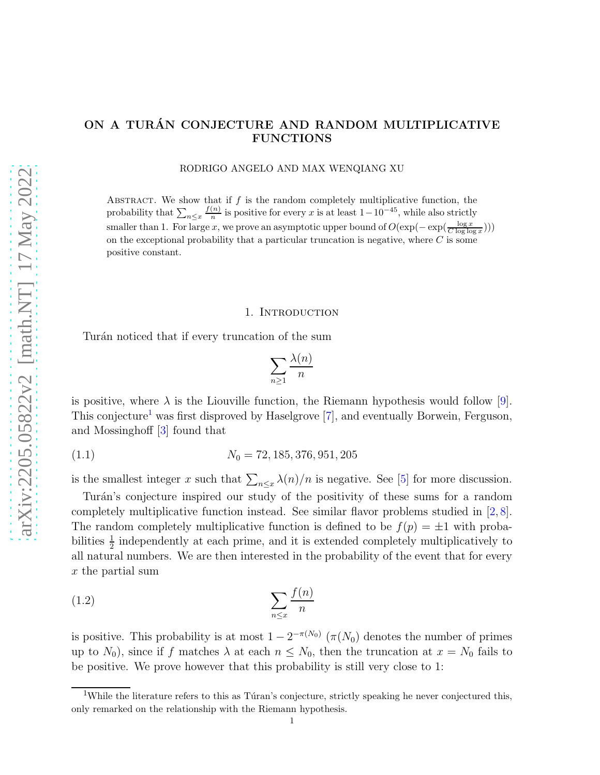# ON A TURÁN CONJECTURE AND RANDOM MULTIPLICATIVE FUNCTIONS

RODRIGO ANGELO AND MAX WENQIANG XU

ABSTRACT. We show that if  $f$  is the random completely multiplicative function, the probability that  $\sum_{n\leq x}\frac{f(n)}{n}$  $\frac{(n)}{n}$  is positive for every x is at least  $1-10^{-45}$ , while also strictly smaller than 1. For large x, we prove an asymptotic upper bound of  $O(\exp(-\exp(\frac{\log x}{C \log \log x})))$ on the exceptional probability that a particular truncation is negative, where  $C$  is some positive constant.

## 1. INTRODUCTION

Turán noticed that if every truncation of the sum

<span id="page-0-1"></span>
$$
\sum_{n\geq 1}\frac{\lambda(n)}{n}
$$

is positive, where  $\lambda$  is the Liouville function, the Riemann hypothesis would follow [\[9\]](#page-9-0). This conjecture<sup>[1](#page-0-0)</sup> was first disproved by Haselgrove [\[7\]](#page-9-1), and eventually Borwein, Ferguson, and Mossinghoff [\[3\]](#page-9-2) found that

$$
(1.1) \t\t N_0 = 72, 185, 376, 951, 205
$$

is the smallest integer x such that  $\sum_{n\leq x}\lambda(n)/n$  is negative. See [\[5\]](#page-9-3) for more discussion.

Turán's conjecture inspired our study of the positivity of these sums for a random completely multiplicative function instead. See similar flavor problems studied in [\[2,](#page-9-4) [8\]](#page-9-5). The random completely multiplicative function is defined to be  $f(p) = \pm 1$  with probabilities  $\frac{1}{2}$  independently at each prime, and it is extended completely multiplicatively to all natural numbers. We are then interested in the probability of the event that for every  $x$  the partial sum

$$
\sum_{n \le x} \frac{f(n)}{n}
$$

is positive. This probability is at most  $1 - 2^{-\pi(N_0)} (\pi(N_0))$  denotes the number of primes up to  $N_0$ ), since if f matches  $\lambda$  at each  $n \leq N_0$ , then the truncation at  $x = N_0$  fails to be positive. We prove however that this probability is still very close to 1:

<span id="page-0-0"></span><sup>&</sup>lt;sup>1</sup>While the literature refers to this as Turan's conjecture, strictly speaking he never conjectured this, only remarked on the relationship with the Riemann hypothesis.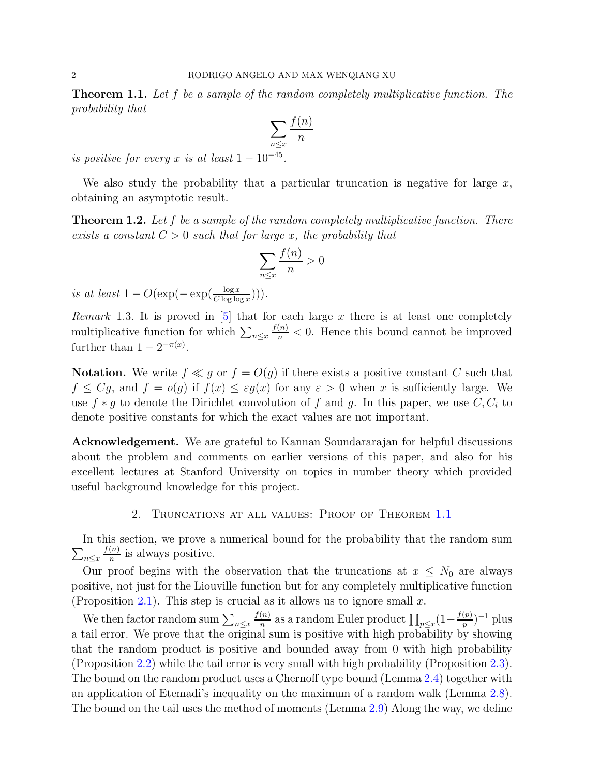<span id="page-1-0"></span>Theorem 1.1. Let f be a sample of the random completely multiplicative function. The probability that

$$
\sum_{n\leq x}\frac{f(n)}{n}
$$

is positive for every x is at least  $1-10^{-45}$ .

We also study the probability that a particular truncation is negative for large  $x$ , obtaining an asymptotic result.

<span id="page-1-1"></span>**Theorem 1.2.** Let  $f$  be a sample of the random completely multiplicative function. There exists a constant  $C > 0$  such that for large x, the probability that

$$
\sum_{n \le x} \frac{f(n)}{n} > 0
$$

is at least  $1 - O(\exp(-\exp(\frac{\log x}{C \log \log x}))).$ 

*Remark* 1.3. It is proved in [\[5\]](#page-9-3) that for each large x there is at least one completely multiplicative function for which  $\sum_{n \leq x}$  $\frac{f(n)}{n}$  < 0. Hence this bound cannot be improved further than  $1 - 2^{-\pi(x)}$ .

**Notation.** We write  $f \ll g$  or  $f = O(g)$  if there exists a positive constant C such that  $f \leq Cg$ , and  $f = o(g)$  if  $f(x) \leq \varepsilon g(x)$  for any  $\varepsilon > 0$  when x is sufficiently large. We use  $f * g$  to denote the Dirichlet convolution of f and g. In this paper, we use  $C, C_i$  to denote positive constants for which the exact values are not important.

Acknowledgement. We are grateful to Kannan Soundararajan for helpful discussions about the problem and comments on earlier versions of this paper, and also for his excellent lectures at Stanford University on topics in number theory which provided useful background knowledge for this project.

2. Truncations at all values: Proof of Theorem [1.1](#page-1-0)

 $\sum_{n\leq x}$ In this section, we prove a numerical bound for the probability that the random sum  $f(n)$  $\frac{(n)}{n}$  is always positive.

Our proof begins with the observation that the truncations at  $x \leq N_0$  are always positive, not just for the Liouville function but for any completely multiplicative function (Proposition [2.1\)](#page-2-0). This step is crucial as it allows us to ignore small x.

We then factor random sum  $\sum_{n\leq x}$  $f(n)$  $\frac{(n)}{n}$  as a random Euler product  $\prod_{p \leq x} (1 - \frac{f(p)}{p})$  $\frac{(p)}{p})^{-1}$  plus a tail error. We prove that the original sum is positive with high probability by showing that the random product is positive and bounded away from 0 with high probability (Proposition [2.2\)](#page-2-1) while the tail error is very small with high probability (Proposition [2.3\)](#page-2-2). The bound on the random product uses a Chernoff type bound (Lemma [2.4\)](#page-3-0) together with an application of Etemadi's inequality on the maximum of a random walk (Lemma [2.8\)](#page-4-0). The bound on the tail uses the method of moments (Lemma [2.9\)](#page-5-0) Along the way, we define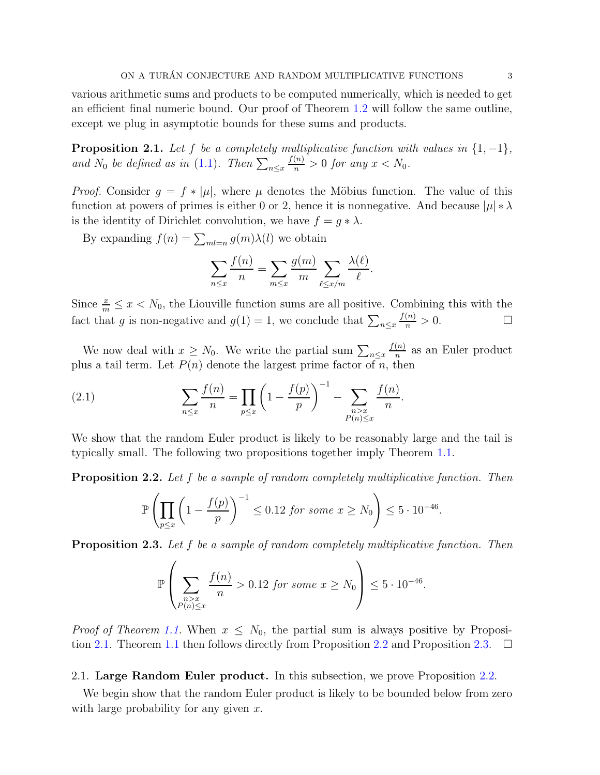various arithmetic sums and products to be computed numerically, which is needed to get an efficient final numeric bound. Our proof of Theorem [1.2](#page-1-1) will follow the same outline, except we plug in asymptotic bounds for these sums and products.

<span id="page-2-0"></span>**Proposition 2.1.** Let f be a completely multiplicative function with values in  $\{1, -1\}$ , and  $N_0$  be defined as in [\(1.1\)](#page-0-1). Then  $\sum_{n \leq x}$  $\frac{f(n)}{n} > 0$  for any  $x < N_0$ .

*Proof.* Consider  $g = f * |\mu|$ , where  $\mu$  denotes the Möbius function. The value of this function at powers of primes is either 0 or 2, hence it is nonnegative. And because  $|\mu| * \lambda$ is the identity of Dirichlet convolution, we have  $f = g * \lambda$ .

By expanding  $f(n) = \sum_{ml=n} g(m)\lambda(l)$  we obtain

$$
\sum_{n\leq x}\frac{f(n)}{n}=\sum_{m\leq x}\frac{g(m)}{m}\sum_{\ell\leq x/m}\frac{\lambda(\ell)}{\ell}.
$$

Since  $\frac{x}{m} \leq x < N_0$ , the Liouville function sums are all positive. Combining this with the fact that g is non-negative and  $g(1) = 1$ , we conclude that  $\sum_{n \leq x}$  $\frac{f(n)}{n} > 0.$ 

We now deal with  $x \geq N_0$ . We write the partial sum  $\sum_{n \leq x}$  $f(n)$  $\frac{n}{n}$  as an Euler product plus a tail term. Let  $P(n)$  denote the largest prime factor of n, then

(2.1) 
$$
\sum_{n \leq x} \frac{f(n)}{n} = \prod_{p \leq x} \left( 1 - \frac{f(p)}{p} \right)^{-1} - \sum_{\substack{n > x \\ P(n) \leq x}} \frac{f(n)}{n}.
$$

We show that the random Euler product is likely to be reasonably large and the tail is typically small. The following two propositions together imply Theorem [1.1.](#page-1-0)

<span id="page-2-1"></span>**Proposition 2.2.** Let f be a sample of random completely multiplicative function. Then

$$
\mathbb{P}\left(\prod_{p\leq x} \left(1 - \frac{f(p)}{p}\right)^{-1} \leq 0.12 \text{ for some } x \geq N_0\right) \leq 5 \cdot 10^{-46}.
$$

<span id="page-2-2"></span>**Proposition 2.3.** Let f be a sample of random completely multiplicative function. Then

$$
\mathbb{P}\left(\sum_{\substack{n>x\\P(n)\leq x}}\frac{f(n)}{n}>0.12 \text{ for some } x\geq N_0\right)\leq 5\cdot 10^{-46}.
$$

*Proof of Theorem [1.1.](#page-1-0)* When  $x \leq N_0$ , the partial sum is always positive by Proposi-tion [2.1.](#page-2-0) Theorem [1.1](#page-1-0) then follows directly from Proposition [2.2](#page-2-1) and Proposition [2.3.](#page-2-2)  $\Box$ 

2.1. Large Random Euler product. In this subsection, we prove Proposition [2.2.](#page-2-1)

We begin show that the random Euler product is likely to be bounded below from zero with large probability for any given  $x$ .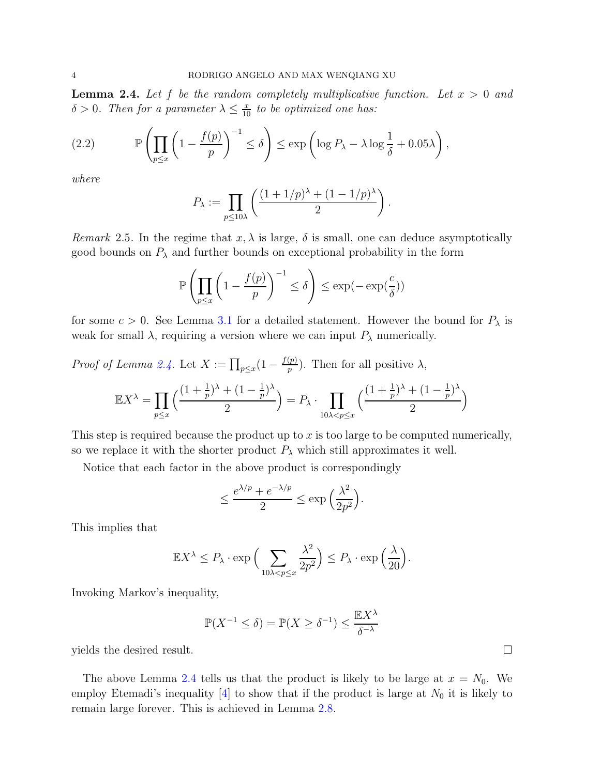<span id="page-3-0"></span>**Lemma 2.4.** Let f be the random completely multiplicative function. Let  $x > 0$  and  $\delta > 0$ . Then for a parameter  $\lambda \leq \frac{x}{10}$  to be optimized one has:

<span id="page-3-1"></span>(2.2) 
$$
\mathbb{P}\left(\prod_{p\leq x}\left(1-\frac{f(p)}{p}\right)^{-1}\leq \delta\right)\leq \exp\left(\log P_{\lambda}-\lambda\log\frac{1}{\delta}+0.05\lambda\right),
$$

where

$$
P_{\lambda} := \prod_{p \leq 10\lambda} \left( \frac{(1+1/p)^{\lambda} + (1-1/p)^{\lambda}}{2} \right).
$$

Remark 2.5. In the regime that  $x, \lambda$  is large,  $\delta$  is small, one can deduce asymptotically good bounds on  $P_{\lambda}$  and further bounds on exceptional probability in the form

$$
\mathbb{P}\left(\prod_{p\leq x} \left(1 - \frac{f(p)}{p}\right)^{-1} \leq \delta\right) \leq \exp(-\exp(\frac{c}{\delta}))
$$

for some  $c > 0$ . See Lemma [3.1](#page-7-0) for a detailed statement. However the bound for  $P_{\lambda}$  is weak for small  $\lambda$ , requiring a version where we can input  $P_{\lambda}$  numerically.

*Proof of Lemma [2.4.](#page-3-0)* Let  $X := \prod_{p \leq x} (1 - \frac{f(p)}{p})$  $\binom{p}{p}$ . Then for all positive  $\lambda$ ,

$$
\mathbb{E}X^{\lambda} = \prod_{p \le x} \left( \frac{(1 + \frac{1}{p})^{\lambda} + (1 - \frac{1}{p})^{\lambda}}{2} \right) = P_{\lambda} \cdot \prod_{10\lambda < p \le x} \left( \frac{(1 + \frac{1}{p})^{\lambda} + (1 - \frac{1}{p})^{\lambda}}{2} \right)
$$

This step is required because the product up to x is too large to be computed numerically, so we replace it with the shorter product  $P_{\lambda}$  which still approximates it well.

Notice that each factor in the above product is correspondingly

$$
\leq \frac{e^{\lambda/p} + e^{-\lambda/p}}{2} \leq \exp\left(\frac{\lambda^2}{2p^2}\right).
$$

This implies that

$$
\mathbb{E}X^{\lambda} \le P_{\lambda} \cdot \exp\Big(\sum_{10\lambda < p \le x} \frac{\lambda^2}{2p^2}\Big) \le P_{\lambda} \cdot \exp\Big(\frac{\lambda}{20}\Big).
$$

Invoking Markov's inequality,

$$
\mathbb{P}(X^{-1} \le \delta) = \mathbb{P}(X \ge \delta^{-1}) \le \frac{\mathbb{E}X^{\lambda}}{\delta^{-\lambda}}
$$

yields the desired result.

The above Lemma [2.4](#page-3-0) tells us that the product is likely to be large at  $x = N_0$ . We employ Etemadi's inequality [\[4\]](#page-9-6) to show that if the product is large at  $N_0$  it is likely to remain large forever. This is achieved in Lemma [2.8.](#page-4-0)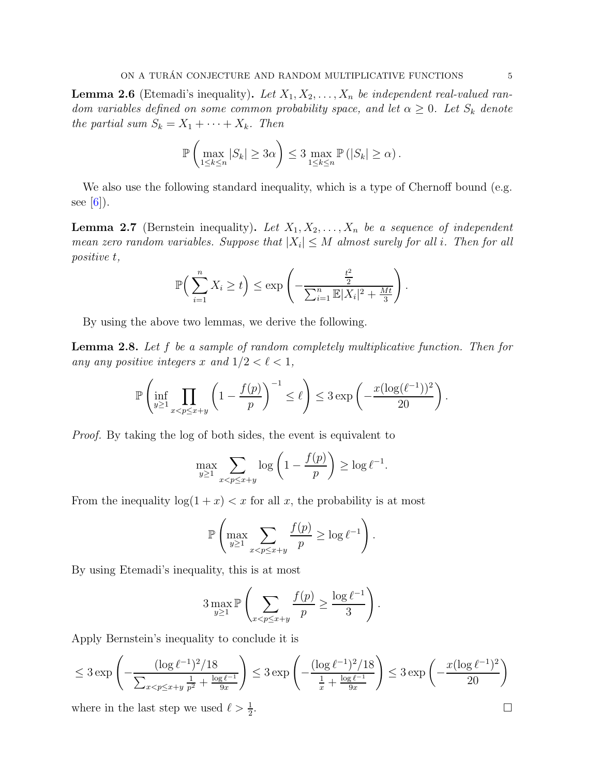**Lemma 2.6** (Etemadi's inequality). Let  $X_1, X_2, \ldots, X_n$  be independent real-valued random variables defined on some common probability space, and let  $\alpha \geq 0$ . Let  $S_k$  denote the partial sum  $S_k = X_1 + \cdots + X_k$ . Then

$$
\mathbb{P}\left(\max_{1\leq k\leq n}|S_k|\geq 3\alpha\right)\leq 3\max_{1\leq k\leq n}\mathbb{P}\left(|S_k|\geq \alpha\right).
$$

We also use the following standard inequality, which is a type of Chernoff bound (e.g. see  $[6]$ ).

**Lemma 2.7** (Bernstein inequality). Let  $X_1, X_2, \ldots, X_n$  be a sequence of independent mean zero random variables. Suppose that  $|X_i| \leq M$  almost surely for all i. Then for all positive t,

$$
\mathbb{P}\Big(\sum_{i=1}^n X_i \ge t\Big) \le \exp\left(-\frac{\frac{t^2}{2}}{\sum_{i=1}^n \mathbb{E}|X_i|^2 + \frac{Mt}{3}}\right).
$$

By using the above two lemmas, we derive the following.

<span id="page-4-0"></span>Lemma 2.8. Let f be a sample of random completely multiplicative function. Then for any any positive integers x and  $1/2 < \ell < 1$ ,

$$
\mathbb{P}\left(\inf_{y\geq 1}\prod_{x
$$

Proof. By taking the log of both sides, the event is equivalent to

$$
\max_{y \ge 1} \sum_{x < p \le x+y} \log\left(1 - \frac{f(p)}{p}\right) \ge \log \ell^{-1}.
$$

From the inequality  $log(1 + x) < x$  for all x, the probability is at most

$$
\mathbb{P}\left(\max_{y\geq 1}\sum_{x
$$

By using Etemadi's inequality, this is at most

$$
3 \max_{y \ge 1} \mathbb{P}\left(\sum_{x < p \le x+y} \frac{f(p)}{p} \ge \frac{\log \ell^{-1}}{3}\right).
$$

Apply Bernstein's inequality to conclude it is

$$
\leq 3 \exp \left( -\frac{(\log \ell^{-1})^2 / 18}{\sum_{x < p \leq x+y} \frac{1}{p^2} + \frac{\log \ell^{-1}}{9x}} \right) \leq 3 \exp \left( -\frac{(\log \ell^{-1})^2 / 18}{\frac{1}{x} + \frac{\log \ell^{-1}}{9x}} \right) \leq 3 \exp \left( -\frac{x (\log \ell^{-1})^2}{20} \right)
$$
\nwhere in the last step we used

\n
$$
\ell > \frac{1}{2}.
$$

where in the last step we used  $\ell > \frac{1}{2}$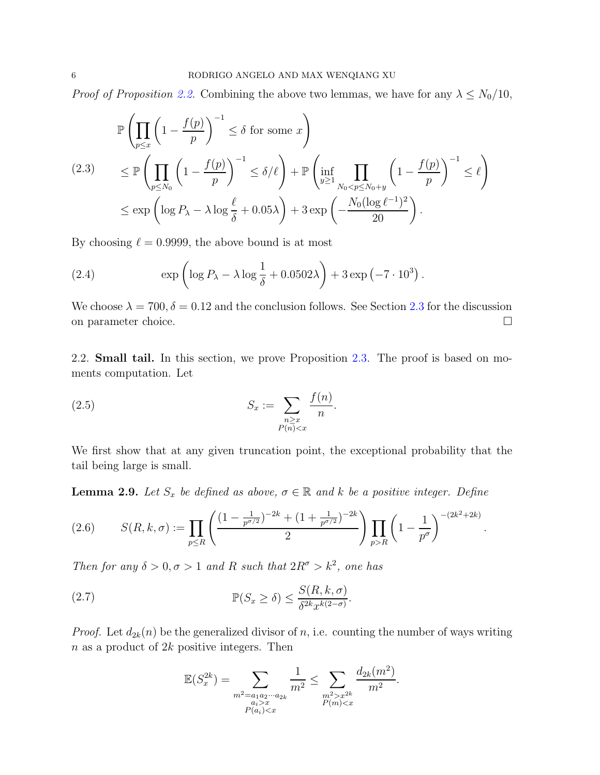*Proof of Proposition [2.2.](#page-2-1)* Combining the above two lemmas, we have for any  $\lambda \le N_0/10$ ,

$$
\mathbb{P}\left(\prod_{p\leq x} \left(1 - \frac{f(p)}{p}\right)^{-1} \leq \delta \text{ for some } x\right)
$$
\n
$$
\leq \mathbb{P}\left(\prod_{p\leq N_0} \left(1 - \frac{f(p)}{p}\right)^{-1} \leq \delta/\ell\right) + \mathbb{P}\left(\inf_{y\geq 1} \prod_{N_0 < p \leq N_0 + y} \left(1 - \frac{f(p)}{p}\right)^{-1} \leq \ell\right)
$$
\n
$$
\leq \exp\left(\log P_{\lambda} - \lambda \log \frac{\ell}{\delta} + 0.05\lambda\right) + 3\exp\left(-\frac{N_0(\log \ell^{-1})^2}{20}\right).
$$

By choosing  $\ell = 0.9999$ , the above bound is at most

<span id="page-5-4"></span>(2.4) 
$$
\exp\left(\log P_{\lambda} - \lambda \log \frac{1}{\delta} + 0.0502\lambda\right) + 3\exp\left(-7 \cdot 10^{3}\right).
$$

We choose  $\lambda = 700, \delta = 0.12$  and the conclusion follows. See Section [2.3](#page-7-1) for the discussion on parameter choice.

2.2. Small tail. In this section, we prove Proposition [2.3.](#page-2-2) The proof is based on moments computation. Let

<span id="page-5-2"></span>(2.5) 
$$
S_x := \sum_{\substack{n \geq x \\ P(n) < x}} \frac{f(n)}{n}.
$$

We first show that at any given truncation point, the exceptional probability that the tail being large is small.

.

<span id="page-5-0"></span>**Lemma 2.9.** Let  $S_x$  be defined as above,  $\sigma \in \mathbb{R}$  and k be a positive integer. Define

<span id="page-5-3"></span>(2.6) 
$$
S(R, k, \sigma) := \prod_{p \le R} \left( \frac{(1 - \frac{1}{p^{\sigma/2}})^{-2k} + (1 + \frac{1}{p^{\sigma/2}})^{-2k}}{2} \right) \prod_{p > R} \left( 1 - \frac{1}{p^{\sigma}} \right)^{-(2k^2 + 2k)}
$$

Then for any  $\delta > 0, \sigma > 1$  and R such that  $2R^{\sigma} > k^2$ , one has

<span id="page-5-1"></span>(2.7) 
$$
\mathbb{P}(S_x \ge \delta) \le \frac{S(R, k, \sigma)}{\delta^{2k} x^{k(2-\sigma)}}.
$$

*Proof.* Let  $d_{2k}(n)$  be the generalized divisor of n, i.e. counting the number of ways writing  $n$  as a product of  $2k$  positive integers. Then

$$
\mathbb{E}(S_x^{2k}) = \sum_{\substack{m^2 = a_1 a_2 \cdots a_{2k} \\ a_i > x \\ P(a_i) < x}} \frac{1}{m^2} \le \sum_{\substack{m^2 > x^{2k} \\ P(m) < x}} \frac{d_{2k}(m^2)}{m^2}.
$$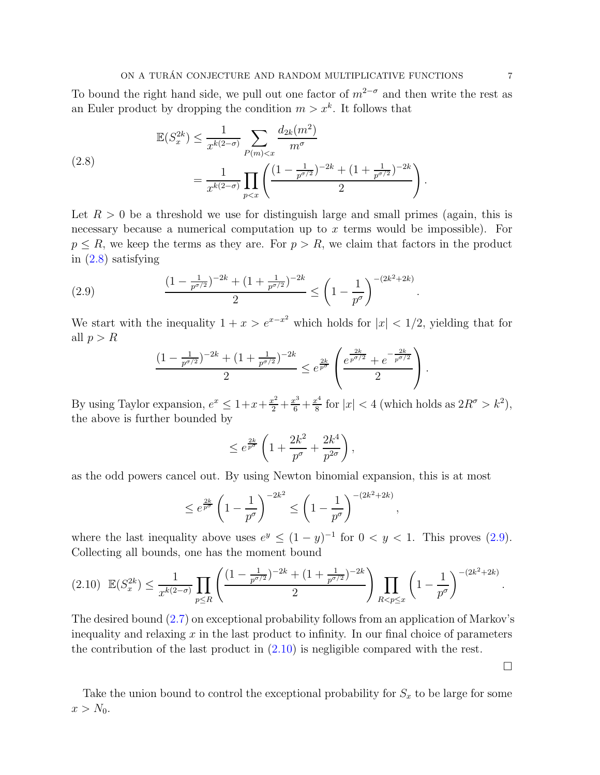## ON A TURÁN CONJECTURE AND RANDOM MULTIPLICATIVE FUNCTIONS  $\begin{array}{ccc} 7 \end{array}$

To bound the right hand side, we pull out one factor of  $m^{2-\sigma}$  and then write the rest as an Euler product by dropping the condition  $m > x^k$ . It follows that

<span id="page-6-0"></span>(2.8)  

$$
\mathbb{E}(S_x^{2k}) \le \frac{1}{x^{k(2-\sigma)}} \sum_{P(m) < x} \frac{d_{2k}(m^2)}{m^{\sigma}}
$$
\n
$$
= \frac{1}{x^{k(2-\sigma)}} \prod_{p < x} \left( \frac{(1 - \frac{1}{p^{\sigma/2}})^{-2k} + (1 + \frac{1}{p^{\sigma/2}})^{-2k}}{2} \right).
$$

Let  $R > 0$  be a threshold we use for distinguish large and small primes (again, this is necessary because a numerical computation up to  $x$  terms would be impossible). For  $p \leq R$ , we keep the terms as they are. For  $p > R$ , we claim that factors in the product in [\(2.8\)](#page-6-0) satisfying

(2.9) 
$$
\frac{(1 - \frac{1}{p^{\sigma/2}})^{-2k} + (1 + \frac{1}{p^{\sigma/2}})^{-2k}}{2} \le \left(1 - \frac{1}{p^{\sigma}}\right)^{-(2k^2 + 2k)}
$$

We start with the inequality  $1 + x > e^{x-x^2}$  which holds for  $|x| < 1/2$ , yielding that for all  $p > R$ 

.

,

<span id="page-6-1"></span>
$$
\frac{(1-\frac{1}{p^{\sigma/2}})^{-2k} + (1+\frac{1}{p^{\sigma/2}})^{-2k}}{2} \leq e^{\frac{2k}{p^{\sigma}}} \left( \frac{e^{\frac{2k}{p^{\sigma/2}}} + e^{-\frac{2k}{p^{\sigma/2}}}}{2} \right).
$$

By using Taylor expansion,  $e^x \leq 1 + x + \frac{x^2}{2} + \frac{x^3}{6} + \frac{x^4}{8}$  $\frac{k^4}{8}$  for  $|x| < 4$  (which holds as  $2R^{\sigma} > k^2$ ), the above is further bounded by

$$
\leq e^{\frac{2k}{p^{\sigma}}} \left( 1 + \frac{2k^2}{p^{\sigma}} + \frac{2k^4}{p^{2\sigma}} \right),
$$

as the odd powers cancel out. By using Newton binomial expansion, this is at most

$$
\leq e^{\frac{2k}{p^{\sigma}}} \left( 1 - \frac{1}{p^{\sigma}} \right)^{-2k^2} \leq \left( 1 - \frac{1}{p^{\sigma}} \right)^{-(2k^2 + 2k)}
$$

where the last inequality above uses  $e^y \le (1-y)^{-1}$  for  $0 < y < 1$ . This proves [\(2.9\)](#page-6-1). Collecting all bounds, one has the moment bound

<span id="page-6-2"></span>
$$
(2.10) \mathbb{E}(S_x^{2k}) \le \frac{1}{x^{k(2-\sigma)}} \prod_{p \le R} \left( \frac{(1 - \frac{1}{p^{\sigma/2}})^{-2k} + (1 + \frac{1}{p^{\sigma/2}})^{-2k}}{2} \right) \prod_{R < p \le x} \left( 1 - \frac{1}{p^{\sigma}} \right)^{-(2k^2 + 2k)}.
$$

The desired bound [\(2.7\)](#page-5-1) on exceptional probability follows from an application of Markov's inequality and relaxing  $x$  in the last product to infinity. In our final choice of parameters the contribution of the last product in [\(2.10\)](#page-6-2) is negligible compared with the rest.

Take the union bound to control the exceptional probability for  $S_x$  to be large for some  $x > N_0$ .

 $\Box$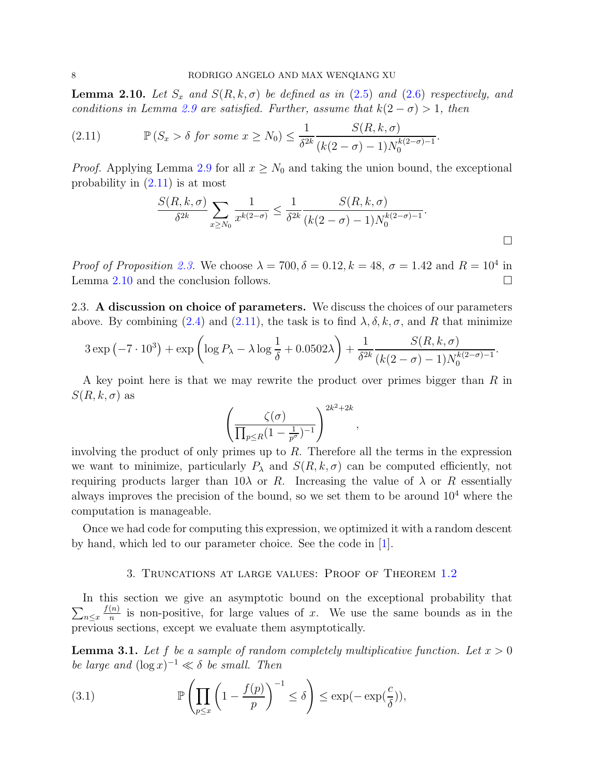<span id="page-7-3"></span>**Lemma 2.10.** Let  $S_x$  and  $S(R, k, \sigma)$  be defined as in [\(2.5\)](#page-5-2) and [\(2.6\)](#page-5-3) respectively, and conditions in Lemma [2.9](#page-5-0) are satisfied. Further, assume that  $k(2 - \sigma) > 1$ , then

(2.11) 
$$
\mathbb{P}(S_x > \delta \text{ for some } x \ge N_0) \le \frac{1}{\delta^{2k}} \frac{S(R, k, \sigma)}{(k(2 - \sigma) - 1)N_0^{k(2-\sigma)-1}}.
$$

*Proof.* Applying Lemma [2.9](#page-5-0) for all  $x \geq N_0$  and taking the union bound, the exceptional probability in [\(2.11\)](#page-7-2) is at most

<span id="page-7-2"></span>
$$
\frac{S(R, k, \sigma)}{\delta^{2k}} \sum_{x \ge N_0} \frac{1}{x^{k(2-\sigma)}} \le \frac{1}{\delta^{2k}} \frac{S(R, k, \sigma)}{(k(2-\sigma) - 1)N_0^{k(2-\sigma)-1}}.
$$

,

<span id="page-7-1"></span>*Proof of Proposition [2.3.](#page-2-2)* We choose  $\lambda = 700, \delta = 0.12, k = 48, \sigma = 1.42$  and  $R = 10^4$  in Lemma [2.10](#page-7-3) and the conclusion follows.  $\Box$ 

2.3. A discussion on choice of parameters. We discuss the choices of our parameters above. By combining [\(2.4\)](#page-5-4) and [\(2.11\)](#page-7-2), the task is to find  $\lambda$ ,  $\delta$ ,  $k$ ,  $\sigma$ , and R that minimize

$$
3\exp\left(-7\cdot 10^3\right) + \exp\left(\log P_\lambda - \lambda \log \frac{1}{\delta} + 0.0502\lambda\right) + \frac{1}{\delta^{2k}} \frac{S(R, k, \sigma)}{(k(2-\sigma)-1)N_0^{k(2-\sigma)-1}}.
$$

A key point here is that we may rewrite the product over primes bigger than R in  $S(R, k, \sigma)$  as

$$
\left(\frac{\zeta(\sigma)}{\prod_{p\leq R}(1-\frac{1}{p^{\sigma}})^{-1}}\right)^{2k^2+2k}
$$

involving the product of only primes up to  $R$ . Therefore all the terms in the expression we want to minimize, particularly  $P_{\lambda}$  and  $S(R, k, \sigma)$  can be computed efficiently, not requiring products larger than  $10\lambda$  or R. Increasing the value of  $\lambda$  or R essentially always improves the precision of the bound, so we set them to be around  $10<sup>4</sup>$  where the computation is manageable.

Once we had code for computing this expression, we optimized it with a random descent by hand, which led to our parameter choice. See the code in [\[1\]](#page-9-8).

### 3. Truncations at large values: Proof of Theorem [1.2](#page-1-1)

 $\sum_{n\leq x}$ In this section we give an asymptotic bound on the exceptional probability that  $f(n)$  $\frac{(n)}{n}$  is non-positive, for large values of x. We use the same bounds as in the previous sections, except we evaluate them asymptotically.

<span id="page-7-0"></span>**Lemma 3.1.** Let f be a sample of random completely multiplicative function. Let  $x > 0$ be large and  $(\log x)^{-1} \ll \delta$  be small. Then

<span id="page-7-4"></span>(3.1) 
$$
\mathbb{P}\left(\prod_{p\leq x}\left(1-\frac{f(p)}{p}\right)^{-1}\leq \delta\right)\leq \exp(-\exp(\frac{c}{\delta})),
$$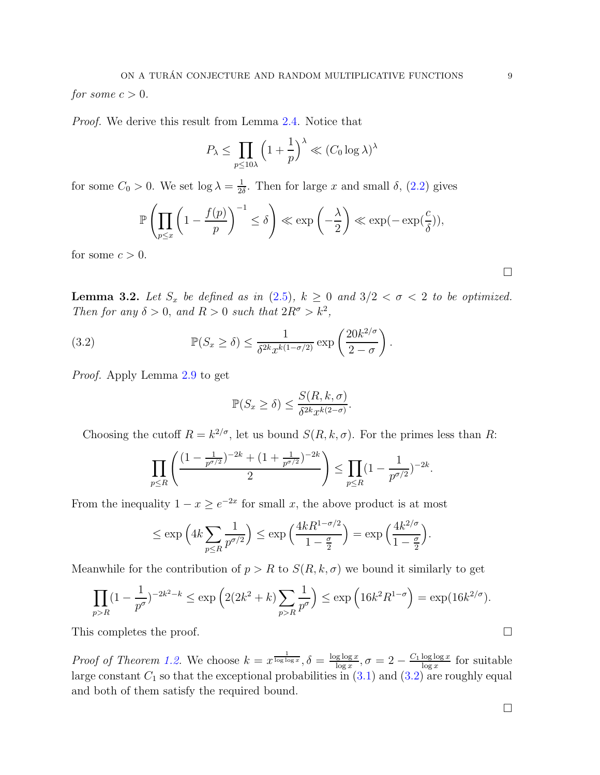for some  $c > 0$ .

Proof. We derive this result from Lemma [2.4.](#page-3-0) Notice that

$$
P_{\lambda} \le \prod_{p \le 10\lambda} \left(1 + \frac{1}{p}\right)^{\lambda} \ll (C_0 \log \lambda)^{\lambda}
$$

for some  $C_0 > 0$ . We set  $\log \lambda = \frac{1}{2i}$  $\frac{1}{2\delta}$ . Then for large x and small  $\delta$ ,  $(2.2)$  gives

$$
\mathbb{P}\left(\prod_{p\leq x} \left(1 - \frac{f(p)}{p}\right)^{-1} \leq \delta\right) \ll \exp\left(-\frac{\lambda}{2}\right) \ll \exp(-\exp(\frac{c}{\delta})),
$$

for some  $c > 0$ .

**Lemma 3.2.** Let  $S_x$  be defined as in  $(2.5)$ ,  $k \geq 0$  and  $3/2 < \sigma < 2$  to be optimized. Then for any  $\delta > 0$ , and  $R > 0$  such that  $2R^{\sigma} > k^2$ ,

(3.2) 
$$
\mathbb{P}(S_x \ge \delta) \le \frac{1}{\delta^{2k} x^{k(1-\sigma/2)}} \exp\left(\frac{20k^{2/\sigma}}{2-\sigma}\right).
$$

Proof. Apply Lemma [2.9](#page-5-0) to get

<span id="page-8-0"></span>
$$
\mathbb{P}(S_x \ge \delta) \le \frac{S(R, k, \sigma)}{\delta^{2k} x^{k(2-\sigma)}}.
$$

Choosing the cutoff  $R = k^{2/\sigma}$ , let us bound  $S(R, k, \sigma)$ . For the primes less than R:

$$
\prod_{p\leq R} \left( \frac{(1-\frac{1}{p^{\sigma/2}})^{-2k} + (1+\frac{1}{p^{\sigma/2}})^{-2k}}{2} \right) \leq \prod_{p\leq R} (1-\frac{1}{p^{\sigma/2}})^{-2k}.
$$

From the inequality  $1 - x \ge e^{-2x}$  for small x, the above product is at most

$$
\leq \exp\left(4k\sum_{p\leq R}\frac{1}{p^{\sigma/2}}\right) \leq \exp\left(\frac{4kR^{1-\sigma/2}}{1-\frac{\sigma}{2}}\right) = \exp\left(\frac{4k^{2/\sigma}}{1-\frac{\sigma}{2}}\right).
$$

Meanwhile for the contribution of  $p > R$  to  $S(R, k, \sigma)$  we bound it similarly to get

$$
\prod_{p>R} (1 - \frac{1}{p^{\sigma}})^{-2k^2 - k} \le \exp\left(2(2k^2 + k)\sum_{p>R} \frac{1}{p^{\sigma}}\right) \le \exp\left(16k^2 R^{1-\sigma}\right) = \exp(16k^{2/\sigma}).
$$

This completes the proof.  $\Box$ 

*Proof of Theorem [1.2.](#page-1-1)* We choose  $k = x^{\frac{1}{\log \log x}}, \delta = \frac{\log \log x}{\log x}$  $\frac{\log \log x}{\log x}, \sigma = 2 - \frac{C_1 \log \log x}{\log x}$  $\frac{\log \log x}{\log x}$  for suitable large constant  $C_1$  so that the exceptional probabilities in  $(3.1)$  and  $(3.2)$  are roughly equal and both of them satisfy the required bound.

 $\Box$